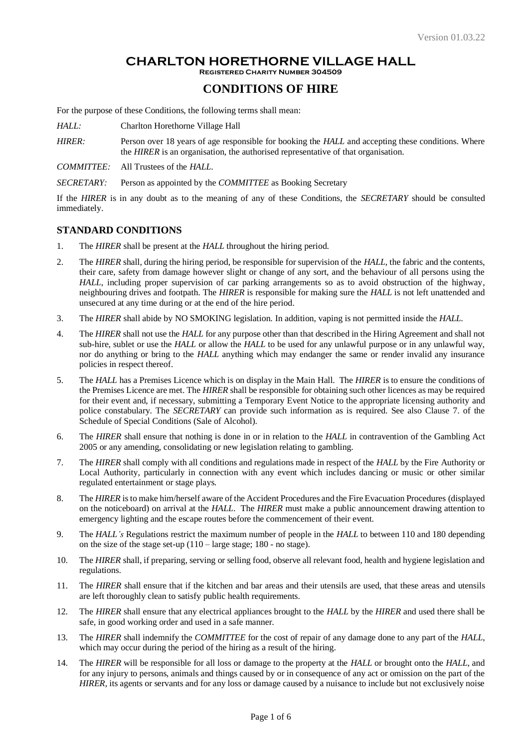#### **CHARLTON HORETHORNE VILLAGE HALL Registered Charity Number 304509**

# **CONDITIONS OF HIRE**

For the purpose of these Conditions, the following terms shall mean:

*HALL:* Charlton Horethorne Village Hall

*HIRER:* Person over 18 years of age responsible for booking the *HALL* and accepting these conditions. Where the *HIRER* is an organisation, the authorised representative of that organisation.

*COMMITTEE:* All Trustees of the *HALL*.

*SECRETARY:* Person as appointed by the *COMMITTEE* as Booking Secretary

If the *HIRER* is in any doubt as to the meaning of any of these Conditions, the *SECRETARY* should be consulted immediately.

## **STANDARD CONDITIONS**

- 1. The *HIRER* shall be present at the *HALL* throughout the hiring period.
- 2. The *HIRER* shall, during the hiring period, be responsible for supervision of the *HALL*, the fabric and the contents, their care, safety from damage however slight or change of any sort, and the behaviour of all persons using the *HALL*, including proper supervision of car parking arrangements so as to avoid obstruction of the highway, neighbouring drives and footpath. The *HIRER* is responsible for making sure the *HALL* is not left unattended and unsecured at any time during or at the end of the hire period.
- 3. The *HIRER* shall abide by NO SMOKING legislation. In addition, vaping is not permitted inside the *HALL*.
- 4. The *HIRER* shall not use the *HALL* for any purpose other than that described in the Hiring Agreement and shall not sub-hire, sublet or use the *HALL* or allow the *HALL* to be used for any unlawful purpose or in any unlawful way, nor do anything or bring to the *HALL* anything which may endanger the same or render invalid any insurance policies in respect thereof.
- 5. The *HALL* has a Premises Licence which is on display in the Main Hall. The *HIRER* is to ensure the conditions of the Premises Licence are met. The *HIRER* shall be responsible for obtaining such other licences as may be required for their event and, if necessary, submitting a Temporary Event Notice to the appropriate licensing authority and police constabulary. The *SECRETARY* can provide such information as is required. See also Clause 7. of the Schedule of Special Conditions (Sale of Alcohol).
- 6. The *HIRER* shall ensure that nothing is done in or in relation to the *HALL* in contravention of the Gambling Act 2005 or any amending, consolidating or new legislation relating to gambling.
- 7. The *HIRER* shall comply with all conditions and regulations made in respect of the *HALL* by the Fire Authority or Local Authority, particularly in connection with any event which includes dancing or music or other similar regulated entertainment or stage plays.
- 8. The *HIRER* is to make him/herself aware of the Accident Procedures and the Fire Evacuation Procedures (displayed on the noticeboard) on arrival at the *HALL*. The *HIRER* must make a public announcement drawing attention to emergency lighting and the escape routes before the commencement of their event.
- 9. The *HALL's* Regulations restrict the maximum number of people in the *HALL* to between 110 and 180 depending on the size of the stage set-up  $(110 - \text{large stage}; 180 - \text{no stage}).$
- 10. The *HIRER* shall, if preparing, serving or selling food, observe all relevant food, health and hygiene legislation and regulations.
- 11. The *HIRER* shall ensure that if the kitchen and bar areas and their utensils are used, that these areas and utensils are left thoroughly clean to satisfy public health requirements.
- 12. The *HIRER* shall ensure that any electrical appliances brought to the *HALL* by the *HIRER* and used there shall be safe, in good working order and used in a safe manner.
- 13. The *HIRER* shall indemnify the *COMMITTEE* for the cost of repair of any damage done to any part of the *HALL*, which may occur during the period of the hiring as a result of the hiring.
- 14. The *HIRER* will be responsible for all loss or damage to the property at the *HALL* or brought onto the *HALL*, and for any injury to persons, animals and things caused by or in consequence of any act or omission on the part of the *HIRER*, its agents or servants and for any loss or damage caused by a nuisance to include but not exclusively noise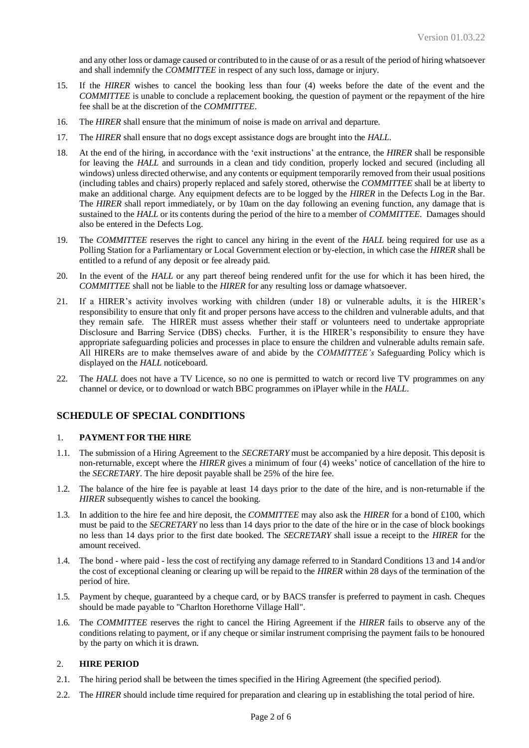and any other loss or damage caused or contributed to in the cause of or as a result of the period of hiring whatsoever and shall indemnify the *COMMITTEE* in respect of any such loss, damage or injury.

- 15. If the *HIRER* wishes to cancel the booking less than four (4) weeks before the date of the event and the *COMMITTEE* is unable to conclude a replacement booking, the question of payment or the repayment of the hire fee shall be at the discretion of the *COMMITTEE*.
- 16. The *HIRER* shall ensure that the minimum of noise is made on arrival and departure.
- 17. The *HIRER* shall ensure that no dogs except assistance dogs are brought into the *HALL*.
- 18. At the end of the hiring, in accordance with the 'exit instructions' at the entrance, the *HIRER* shall be responsible for leaving the *HALL* and surrounds in a clean and tidy condition, properly locked and secured (including all windows) unless directed otherwise, and any contents or equipment temporarily removed from their usual positions (including tables and chairs) properly replaced and safely stored, otherwise the *COMMITTEE* shall be at liberty to make an additional charge. Any equipment defects are to be logged by the *HIRER* in the Defects Log in the Bar. The *HIRER* shall report immediately, or by 10am on the day following an evening function, any damage that is sustained to the *HALL* or its contents during the period of the hire to a member of *COMMITTEE*. Damages should also be entered in the Defects Log.
- 19. The *COMMITTEE* reserves the right to cancel any hiring in the event of the *HALL* being required for use as a Polling Station for a Parliamentary or Local Government election or by-election, in which case the *HIRER* shall be entitled to a refund of any deposit or fee already paid.
- 20. In the event of the *HALL* or any part thereof being rendered unfit for the use for which it has been hired, the *COMMITTEE* shall not be liable to the *HIRER* for any resulting loss or damage whatsoever.
- 21. If a HIRER's activity involves working with children (under 18) or vulnerable adults, it is the HIRER's responsibility to ensure that only fit and proper persons have access to the children and vulnerable adults, and that they remain safe. The HIRER must assess whether their staff or volunteers need to undertake appropriate Disclosure and Barring Service (DBS) checks. Further, it is the HIRER's responsibility to ensure they have appropriate safeguarding policies and processes in place to ensure the children and vulnerable adults remain safe. All HIRERs are to make themselves aware of and abide by the *COMMITTEE's* Safeguarding Policy which is displayed on the *HALL* noticeboard*.*
- 22. The *HALL* does not have a TV Licence, so no one is permitted to watch or record live TV programmes on any channel or device, or to download or watch BBC programmes on iPlayer while in the *HALL*.

# **SCHEDULE OF SPECIAL CONDITIONS**

#### 1. **PAYMENT FOR THE HIRE**

- 1.1. The submission of a Hiring Agreement to the *SECRETARY* must be accompanied by a hire deposit. This deposit is non-returnable, except where the *HIRER* gives a minimum of four (4) weeks' notice of cancellation of the hire to the *SECRETARY*. The hire deposit payable shall be 25% of the hire fee.
- 1.2. The balance of the hire fee is payable at least 14 days prior to the date of the hire, and is non-returnable if the *HIRER* subsequently wishes to cancel the booking.
- 1.3. In addition to the hire fee and hire deposit, the *COMMITTEE* may also ask the *HIRER* for a bond of £100, which must be paid to the *SECRETARY* no less than 14 days prior to the date of the hire or in the case of block bookings no less than 14 days prior to the first date booked. The *SECRETARY* shall issue a receipt to the *HIRER* for the amount received.
- 1.4. The bond where paid less the cost of rectifying any damage referred to in Standard Conditions 13 and 14 and/or the cost of exceptional cleaning or clearing up will be repaid to the *HIRER* within 28 days of the termination of the period of hire.
- 1.5. Payment by cheque, guaranteed by a cheque card, or by BACS transfer is preferred to payment in cash. Cheques should be made payable to "Charlton Horethorne Village Hall".
- 1.6. The *COMMITTEE* reserves the right to cancel the Hiring Agreement if the *HIRER* fails to observe any of the conditions relating to payment, or if any cheque or similar instrument comprising the payment fails to be honoured by the party on which it is drawn.

## 2. **HIRE PERIOD**

- 2.1. The hiring period shall be between the times specified in the Hiring Agreement (the specified period).
- 2.2. The *HIRER* should include time required for preparation and clearing up in establishing the total period of hire.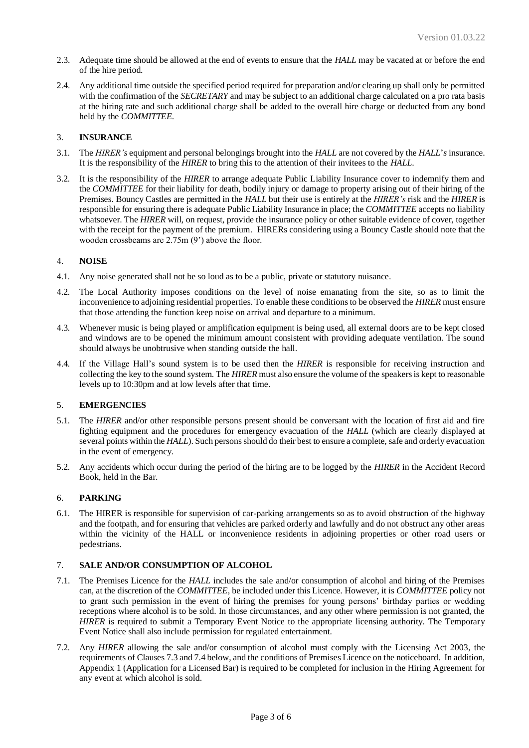- 2.3. Adequate time should be allowed at the end of events to ensure that the *HALL* may be vacated at or before the end of the hire period.
- 2.4. Any additional time outside the specified period required for preparation and/or clearing up shall only be permitted with the confirmation of the *SECRETARY* and may be subject to an additional charge calculated on a pro rata basis at the hiring rate and such additional charge shall be added to the overall hire charge or deducted from any bond held by the *COMMITTEE*.

## 3. **INSURANCE**

- 3.1. The *HIRER's* equipment and personal belongings brought into the *HALL* are not covered by the *HALL*'*s* insurance. It is the responsibility of the *HIRER* to bring this to the attention of their invitees to the *HALL*.
- 3.2. It is the responsibility of the *HIRER* to arrange adequate Public Liability Insurance cover to indemnify them and the *COMMITTEE* for their liability for death, bodily injury or damage to property arising out of their hiring of the Premises. Bouncy Castles are permitted in the *HALL* but their use is entirely at the *HIRER's* risk and the *HIRER* is responsible for ensuring there is adequate Public Liability Insurance in place; the *COMMITTEE* accepts no liability whatsoever. The *HIRER* will, on request, provide the insurance policy or other suitable evidence of cover, together with the receipt for the payment of the premium. HIRERs considering using a Bouncy Castle should note that the wooden crossbeams are 2.75m (9') above the floor.

## 4. **NOISE**

- 4.1. Any noise generated shall not be so loud as to be a public, private or statutory nuisance.
- 4.2. The Local Authority imposes conditions on the level of noise emanating from the site, so as to limit the inconvenience to adjoining residential properties. To enable these conditions to be observed the *HIRER* must ensure that those attending the function keep noise on arrival and departure to a minimum.
- 4.3. Whenever music is being played or amplification equipment is being used, all external doors are to be kept closed and windows are to be opened the minimum amount consistent with providing adequate ventilation. The sound should always be unobtrusive when standing outside the hall.
- 4.4. If the Village Hall's sound system is to be used then the *HIRER* is responsible for receiving instruction and collecting the key to the sound system. The *HIRER* must also ensure the volume of the speakers is kept to reasonable levels up to 10:30pm and at low levels after that time.

## 5. **EMERGENCIES**

- 5.1. The *HIRER* and/or other responsible persons present should be conversant with the location of first aid and fire fighting equipment and the procedures for emergency evacuation of the *HALL* (which are clearly displayed at several points within the *HALL*). Such persons should do their best to ensure a complete, safe and orderly evacuation in the event of emergency.
- 5.2. Any accidents which occur during the period of the hiring are to be logged by the *HIRER* in the Accident Record Book, held in the Bar.

## 6. **PARKING**

6.1. The HIRER is responsible for supervision of car-parking arrangements so as to avoid obstruction of the highway and the footpath, and for ensuring that vehicles are parked orderly and lawfully and do not obstruct any other areas within the vicinity of the HALL or inconvenience residents in adjoining properties or other road users or pedestrians.

#### 7. **SALE AND/OR CONSUMPTION OF ALCOHOL**

- 7.1. The Premises Licence for the *HALL* includes the sale and/or consumption of alcohol and hiring of the Premises can, at the discretion of the *COMMITTEE*, be included under this Licence. However, it is *COMMITTEE* policy not to grant such permission in the event of hiring the premises for young persons' birthday parties or wedding receptions where alcohol is to be sold. In those circumstances, and any other where permission is not granted, the *HIRER* is required to submit a Temporary Event Notice to the appropriate licensing authority. The Temporary Event Notice shall also include permission for regulated entertainment.
- 7.2. Any *HIRER* allowing the sale and/or consumption of alcohol must comply with the Licensing Act 2003, the requirements of Clauses 7.3 and 7.4 below, and the conditions of Premises Licence on the noticeboard. In addition, Appendix 1 (Application for a Licensed Bar) is required to be completed for inclusion in the Hiring Agreement for any event at which alcohol is sold.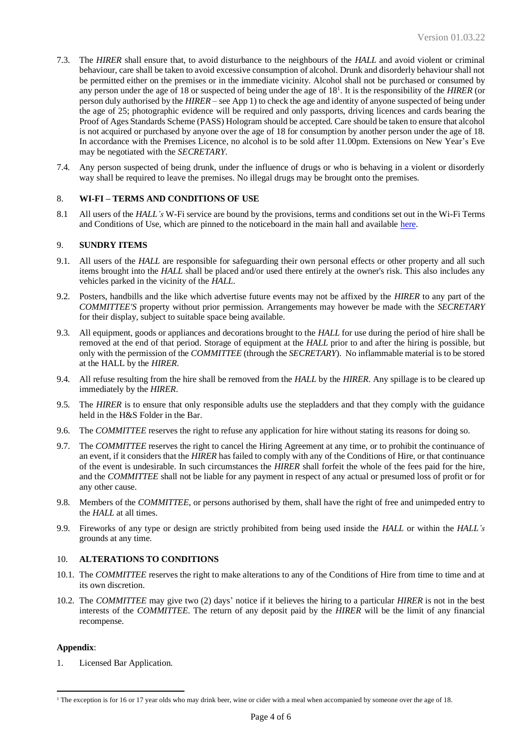- 7.3. The *HIRER* shall ensure that, to avoid disturbance to the neighbours of the *HALL* and avoid violent or criminal behaviour, care shall be taken to avoid excessive consumption of alcohol. Drunk and disorderly behaviour shall not be permitted either on the premises or in the immediate vicinity. Alcohol shall not be purchased or consumed by any person under the age of 18 or suspected of being under the age of 18<sup>1</sup> . It is the responsibility of the *HIRER* (or person duly authorised by the *HIRER* – see App 1) to check the age and identity of anyone suspected of being under the age of 25; photographic evidence will be required and only passports, driving licences and cards bearing the Proof of Ages Standards Scheme (PASS) Hologram should be accepted. Care should be taken to ensure that alcohol is not acquired or purchased by anyone over the age of 18 for consumption by another person under the age of 18. In accordance with the Premises Licence, no alcohol is to be sold after 11.00pm. Extensions on New Year's Eve may be negotiated with the *SECRETARY*.
- 7.4. Any person suspected of being drunk, under the influence of drugs or who is behaving in a violent or disorderly way shall be required to leave the premises. No illegal drugs may be brought onto the premises.

## 8. **WI-FI – TERMS AND CONDITIONS OF USE**

8.1 All users of the *HALL's* W-Fi service are bound by the provisions, terms and conditions set out in the Wi-Fi Terms and Conditions of Use, which are pinned to the noticeboard in the main hall and availabl[e here.](https://www.dropbox.com/s/krtc49o7fck6u7w/CHVH%20Wi-Fi%20Terms%20and%20Conditions%20of%20Use%20V1%20-%207%20Jul%2021.pdf?dl=0)

#### 9. **SUNDRY ITEMS**

- 9.1. All users of the *HALL* are responsible for safeguarding their own personal effects or other property and all such items brought into the *HALL* shall be placed and/or used there entirely at the owner's risk. This also includes any vehicles parked in the vicinity of the *HALL*.
- 9.2. Posters, handbills and the like which advertise future events may not be affixed by the *HIRER* to any part of the *COMMITTEE'S* property without prior permission. Arrangements may however be made with the *SECRETARY*  for their display, subject to suitable space being available.
- 9.3. All equipment, goods or appliances and decorations brought to the *HALL* for use during the period of hire shall be removed at the end of that period. Storage of equipment at the *HALL* prior to and after the hiring is possible, but only with the permission of the *COMMITTEE* (through the *SECRETARY*). No inflammable material is to be stored at the HALL by the *HIRER*.
- 9.4. All refuse resulting from the hire shall be removed from the *HALL* by the *HIRER*. Any spillage is to be cleared up immediately by the *HIRER*.
- 9.5. The *HIRER* is to ensure that only responsible adults use the stepladders and that they comply with the guidance held in the H&S Folder in the Bar.
- 9.6. The *COMMITTEE* reserves the right to refuse any application for hire without stating its reasons for doing so.
- 9.7. The *COMMITTEE* reserves the right to cancel the Hiring Agreement at any time, or to prohibit the continuance of an event, if it considers that the *HIRER* has failed to comply with any of the Conditions of Hire, or that continuance of the event is undesirable. In such circumstances the *HIRER* shall forfeit the whole of the fees paid for the hire, and the *COMMITTEE* shall not be liable for any payment in respect of any actual or presumed loss of profit or for any other cause.
- 9.8. Members of the *COMMITTEE*, or persons authorised by them, shall have the right of free and unimpeded entry to the *HALL* at all times.
- 9.9. Fireworks of any type or design are strictly prohibited from being used inside the *HALL* or within the *HALL's* grounds at any time.

#### 10. **ALTERATIONS TO CONDITIONS**

- 10.1. The *COMMITTEE* reserves the right to make alterations to any of the Conditions of Hire from time to time and at its own discretion.
- 10.2. The *COMMITTEE* may give two (2) days' notice if it believes the hiring to a particular *HIRER* is not in the best interests of the *COMMITTEE*. The return of any deposit paid by the *HIRER* will be the limit of any financial recompense.

#### **Appendix**:

1. Licensed Bar Application.

<sup>&</sup>lt;sup>1</sup> The exception is for 16 or 17 year olds who may drink beer, wine or cider with a meal when accompanied by someone over the age of 18.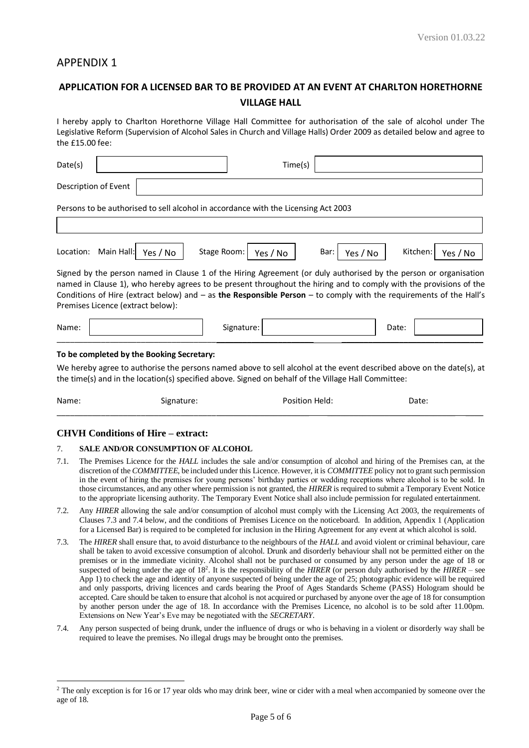# APPENDIX 1

# **APPLICATION FOR A LICENSED BAR TO BE PROVIDED AT AN EVENT AT CHARLTON HORETHORNE VILLAGE HALL**

I hereby apply to Charlton Horethorne Village Hall Committee for authorisation of the sale of alcohol under The Legislative Reform (Supervision of Alcohol Sales in Church and Village Halls) Order 2009 as detailed below and agree to the £15.00 fee:

| Date(s)   |                      |                                           |                                                                                                                                                                                                                                                                                                                                                                  | Time(s)  |                  |       |          |          |
|-----------|----------------------|-------------------------------------------|------------------------------------------------------------------------------------------------------------------------------------------------------------------------------------------------------------------------------------------------------------------------------------------------------------------------------------------------------------------|----------|------------------|-------|----------|----------|
|           | Description of Event |                                           |                                                                                                                                                                                                                                                                                                                                                                  |          |                  |       |          |          |
|           |                      |                                           | Persons to be authorised to sell alcohol in accordance with the Licensing Act 2003                                                                                                                                                                                                                                                                               |          |                  |       |          |          |
|           |                      |                                           |                                                                                                                                                                                                                                                                                                                                                                  |          |                  |       |          |          |
| Location: | Main Hall:           | Yes / No                                  | Stage Room:                                                                                                                                                                                                                                                                                                                                                      | Yes / No | Bar:<br>Yes / No |       | Kitchen: | Yes / No |
|           |                      | Premises Licence (extract below):         | Signed by the person named in Clause 1 of the Hiring Agreement (or duly authorised by the person or organisation<br>named in Clause 1), who hereby agrees to be present throughout the hiring and to comply with the provisions of the<br>Conditions of Hire (extract below) and $-$ as the Responsible Person $-$ to comply with the requirements of the Hall's |          |                  |       |          |          |
| Name:     |                      |                                           | Signature:                                                                                                                                                                                                                                                                                                                                                       |          |                  | Date: |          |          |
|           |                      | To be completed by the Booking Secretary: |                                                                                                                                                                                                                                                                                                                                                                  |          |                  |       |          |          |
|           |                      |                                           | We hereby agree to authorise the persons named above to sell alcohol at the event described above on the date(s), at<br>the time(s) and in the location(s) specified above. Signed on behalf of the Village Hall Committee:                                                                                                                                      |          |                  |       |          |          |

Name: Signature: Signature: Position Held: Date: Date: \_\_\_\_\_\_\_\_\_\_\_\_\_\_\_\_\_\_\_\_\_\_\_\_\_\_\_\_\_\_\_\_\_\_\_\_\_\_\_\_\_\_\_\_\_\_\_\_\_\_\_\_\_\_\_\_\_ \_\_\_\_\_\_\_\_\_\_\_\_\_\_\_\_\_\_\_\_\_\_\_\_\_\_\_\_\_ \_\_\_\_

## **CHVH Conditions of Hire – extract:**

#### 7. **SALE AND/OR CONSUMPTION OF ALCOHOL**

- 7.1. The Premises Licence for the *HALL* includes the sale and/or consumption of alcohol and hiring of the Premises can, at the discretion of the *COMMITTEE*, be included under this Licence. However, it is *COMMITTEE* policy not to grant such permission in the event of hiring the premises for young persons' birthday parties or wedding receptions where alcohol is to be sold. In those circumstances, and any other where permission is not granted, the *HIRER* is required to submit a Temporary Event Notice to the appropriate licensing authority. The Temporary Event Notice shall also include permission for regulated entertainment.
- 7.2. Any *HIRER* allowing the sale and/or consumption of alcohol must comply with the Licensing Act 2003, the requirements of Clauses 7.3 and 7.4 below, and the conditions of Premises Licence on the noticeboard. In addition, Appendix 1 (Application for a Licensed Bar) is required to be completed for inclusion in the Hiring Agreement for any event at which alcohol is sold.
- 7.3. The *HIRER* shall ensure that, to avoid disturbance to the neighbours of the *HALL* and avoid violent or criminal behaviour, care shall be taken to avoid excessive consumption of alcohol. Drunk and disorderly behaviour shall not be permitted either on the premises or in the immediate vicinity. Alcohol shall not be purchased or consumed by any person under the age of 18 or suspected of being under the age of 18<sup>2</sup> . It is the responsibility of the *HIRER* (or person duly authorised by the *HIRER* – see App 1) to check the age and identity of anyone suspected of being under the age of 25; photographic evidence will be required and only passports, driving licences and cards bearing the Proof of Ages Standards Scheme (PASS) Hologram should be accepted. Care should be taken to ensure that alcohol is not acquired or purchased by anyone over the age of 18 for consumption by another person under the age of 18. In accordance with the Premises Licence, no alcohol is to be sold after 11.00pm. Extensions on New Year's Eve may be negotiated with the *SECRETARY*.
- 7.4. Any person suspected of being drunk, under the influence of drugs or who is behaving in a violent or disorderly way shall be required to leave the premises. No illegal drugs may be brought onto the premises.

<sup>&</sup>lt;sup>2</sup> The only exception is for 16 or 17 year olds who may drink beer, wine or cider with a meal when accompanied by someone over the age of 18.